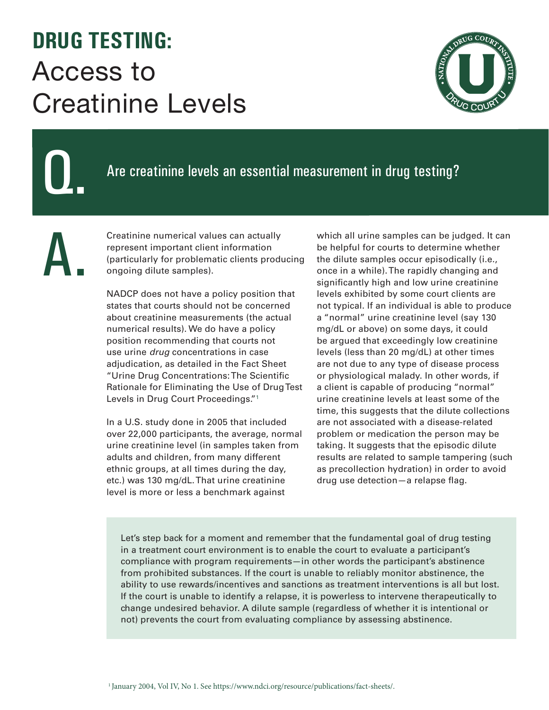## **DRUG TESTING:**  Access to Creatinine Levels



## Q.

A.

## Are creatinine levels an essential measurement in drug testing?

Creatinine numerical values can actually represent important client information (particularly for problematic clients producing ongoing dilute samples).

NADCP does not have a policy position that states that courts should not be concerned about creatinine measurements (the actual numerical results). We do have a policy position recommending that courts not use urine *drug* concentrations in case adjudication, as detailed in the Fact Sheet "Urine Drug Concentrations: The Scientific Rationale for Eliminating the Use of Drug Test Levels in Drug Court Proceedings."1

In a U.S. study done in 2005 that included over 22,000 participants, the average, normal urine creatinine level (in samples taken from adults and children, from many different ethnic groups, at all times during the day, etc.) was 130 mg/dL. That urine creatinine level is more or less a benchmark against

which all urine samples can be judged. It can be helpful for courts to determine whether the dilute samples occur episodically (i.e., once in a while). The rapidly changing and significantly high and low urine creatinine levels exhibited by some court clients are not typical. If an individual is able to produce a "normal" urine creatinine level (say 130 mg/dL or above) on some days, it could be argued that exceedingly low creatinine levels (less than 20 mg/dL) at other times are not due to any type of disease process or physiological malady. In other words, if a client is capable of producing "normal" urine creatinine levels at least some of the time, this suggests that the dilute collections are not associated with a disease-related problem or medication the person may be taking. It suggests that the episodic dilute results are related to sample tampering (such as precollection hydration) in order to avoid drug use detection—a relapse flag.

Let's step back for a moment and remember that the fundamental goal of drug testing in a treatment court environment is to enable the court to evaluate a participant's compliance with program requirements—in other words the participant's abstinence from prohibited substances. If the court is unable to reliably monitor abstinence, the ability to use rewards/incentives and sanctions as treatment interventions is all but lost. If the court is unable to identify a relapse, it is powerless to intervene therapeutically to change undesired behavior. A dilute sample (regardless of whether it is intentional or not) prevents the court from evaluating compliance by assessing abstinence.